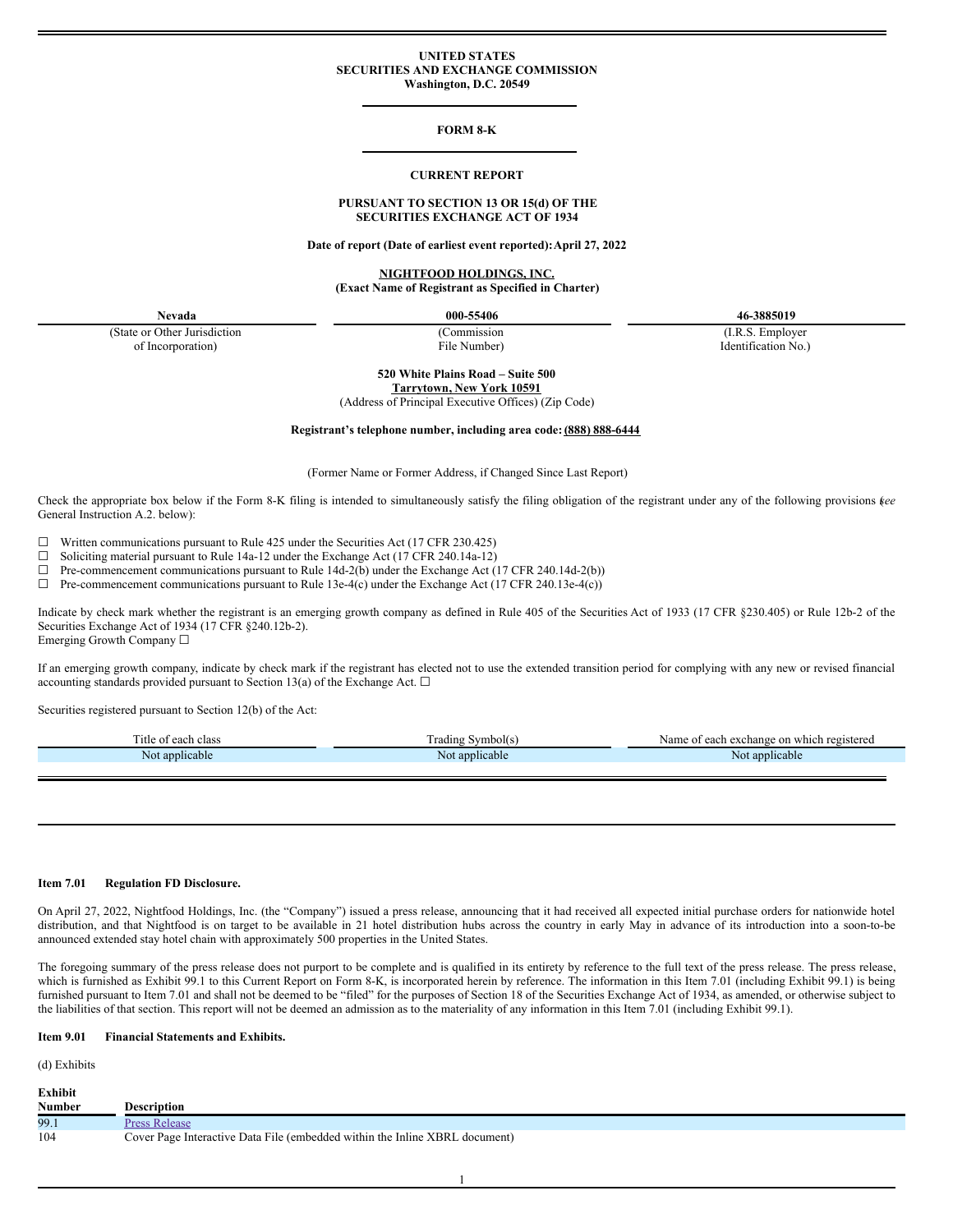### **UNITED STATES SECURITIES AND EXCHANGE COMMISSION Washington, D.C. 20549**

## **FORM 8-K**

#### **CURRENT REPORT**

## **PURSUANT TO SECTION 13 OR 15(d) OF THE SECURITIES EXCHANGE ACT OF 1934**

**Date of report (Date of earliest event reported):April 27, 2022**

## **NIGHTFOOD HOLDINGS, INC. (Exact Name of Registrant as Specified in Charter)**

(State or Other Jurisdiction of Incorporation)

**Nevada 000-55406 46-3885019**

(Commission File Number)

(I.R.S. Employer Identification No.)

**520 White Plains Road – Suite 500 Tarrytown, New York 10591**

(Address of Principal Executive Offices) (Zip Code)

### **Registrant's telephone number, including area code: (888) 888-6444**

(Former Name or Former Address, if Changed Since Last Report)

Check the appropriate box below if the Form 8-K filing is intended to simultaneously satisfy the filing obligation of the registrant under any of the following provisions (*see* General Instruction A.2. below):

 $\Box$  Written communications pursuant to Rule 425 under the Securities Act (17 CFR 230.425)<br>  $\Box$  Soliciting material pursuant to Rule 14a-12 under the Exchange Act (17 CFR 240 14a-12)

Soliciting material pursuant to Rule 14a-12 under the Exchange Act (17 CFR 240.14a-12)

 $\Box$  Pre-commencement communications pursuant to Rule 14d-2(b) under the Exchange Act (17 CFR 240.14d-2(b))

 $\Box$  Pre-commencement communications pursuant to Rule 13e-4(c) under the Exchange Act (17 CFR 240.13e-4(c))

Indicate by check mark whether the registrant is an emerging growth company as defined in Rule 405 of the Securities Act of 1933 (17 CFR §230.405) or Rule 12b-2 of the Securities Exchange Act of 1934 (17 CFR §240.12b-2). Emerging Growth Company ☐

If an emerging growth company, indicate by check mark if the registrant has elected not to use the extended transition period for complying with any new or revised financial accounting standards provided pursuant to Section 13(a) of the Exchange Act.  $\Box$ 

Securities registered pursuant to Section 12(b) of the Act:

| $\mathbf{m}$<br>ritle of each<br>class | l radıng<br>Symbol(s. | f each exchange on which registered<br>Name of |
|----------------------------------------|-----------------------|------------------------------------------------|
| applicable<br>NOt                      | Not applicable        | Not applicable                                 |
|                                        |                       |                                                |

### **Item 7.01 Regulation FD Disclosure.**

On April 27, 2022, Nightfood Holdings, Inc. (the "Company") issued a press release, announcing that it had received all expected initial purchase orders for nationwide hotel distribution, and that Nightfood is on target to be available in 21 hotel distribution hubs across the country in early May in advance of its introduction into a soon-to-be announced extended stay hotel chain with approximately 500 properties in the United States.

The foregoing summary of the press release does not purport to be complete and is qualified in its entirety by reference to the full text of the press release. The press release, which is furnished as Exhibit 99.1 to this Current Report on Form 8-K, is incorporated herein by reference. The information in this Item 7.01 (including Exhibit 99.1) is being furnished pursuant to Item 7.01 and shall not be deemed to be "filed" for the purposes of Section 18 of the Securities Exchange Act of 1934, as amended, or otherwise subject to the liabilities of that section. This report will not be deemed an admission as to the materiality of any information in this Item 7.01 (including Exhibit 99.1).

### **Item 9.01 Financial Statements and Exhibits.**

(d) Exhibits

| Exhibit       |                                                                             |
|---------------|-----------------------------------------------------------------------------|
| <b>Number</b> | <b>Description</b>                                                          |
| 99.1          | <b>Press Release</b>                                                        |
| 104           | Cover Page Interactive Data File (embedded within the Inline XBRL document) |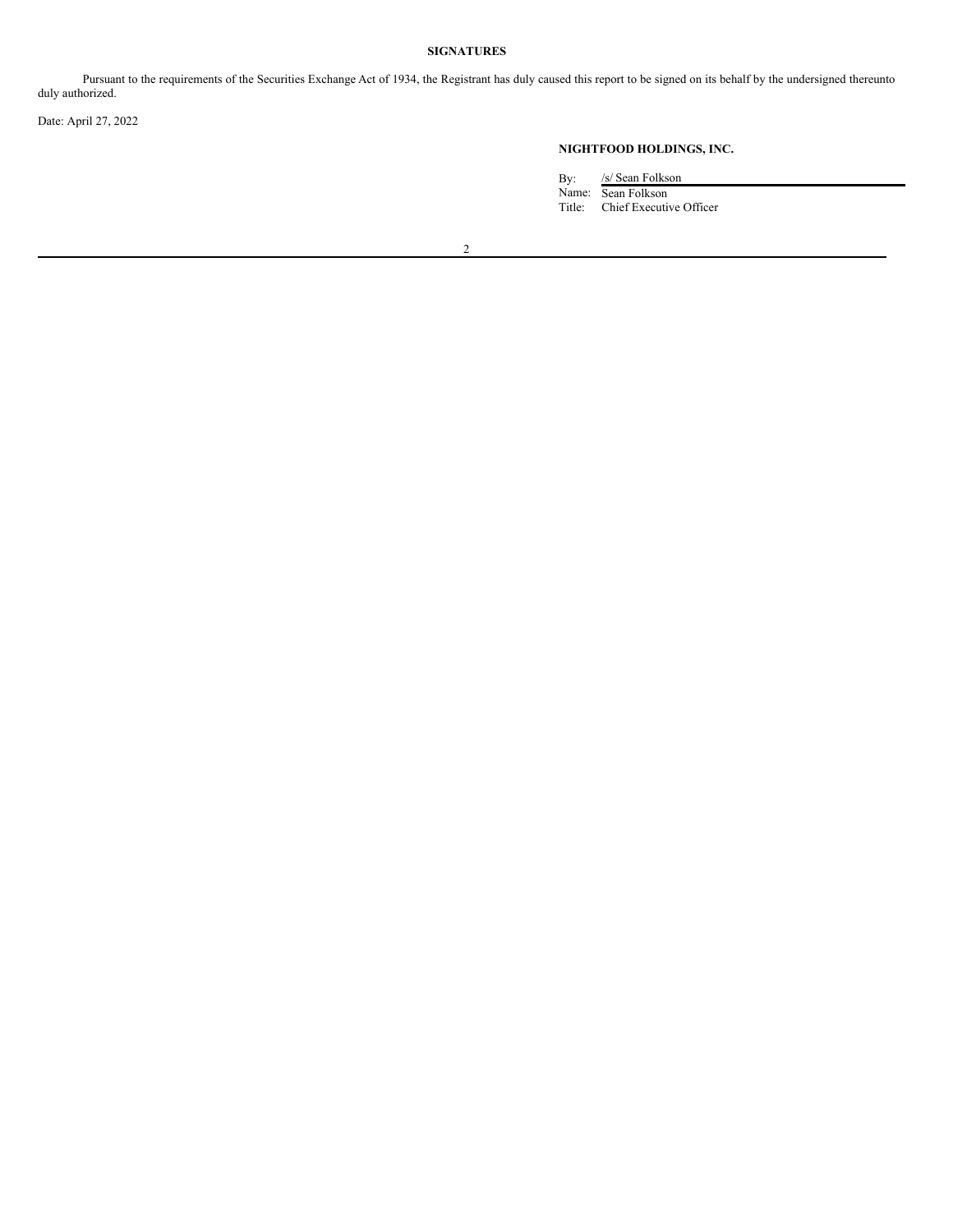# **SIGNATURES**

Pursuant to the requirements of the Securities Exchange Act of 1934, the Registrant has duly caused this report to be signed on its behalf by the undersigned thereunto duly authorized.

Date: April 27, 2022

# **NIGHTFOOD HOLDINGS, INC.**

By: /s/ Sean Folkson Name: Sean Folkson Title: Chief Executive Officer

2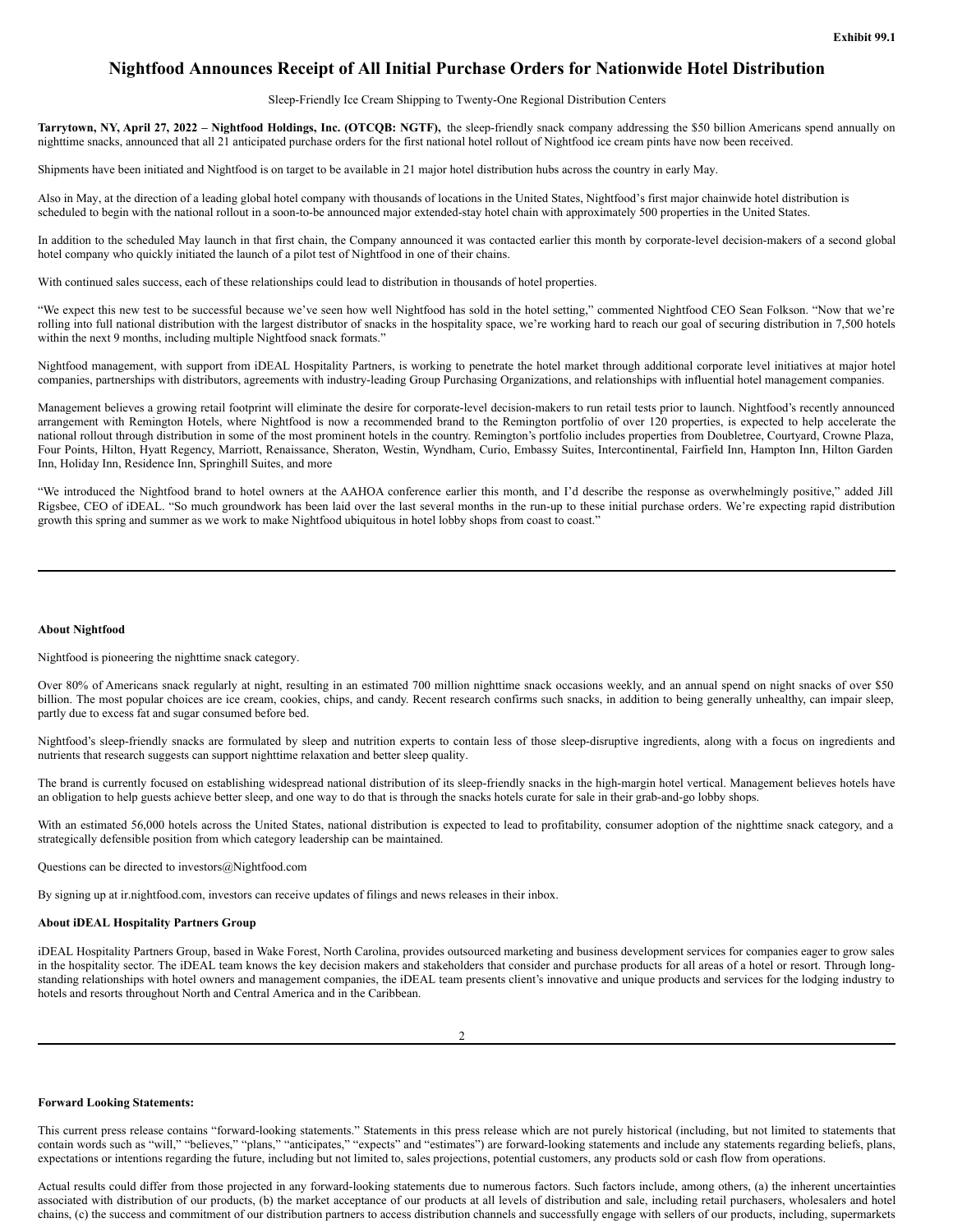# <span id="page-2-0"></span>**Nightfood Announces Receipt of All Initial Purchase Orders for Nationwide Hotel Distribution**

Sleep-Friendly Ice Cream Shipping to Twenty-One Regional Distribution Centers

Tarrytown, NY, April 27, 2022 – Nightfood Holdings, Inc. (OTCQB: NGTF), the sleep-friendly snack company addressing the \$50 billion Americans spend annually on nighttime snacks, announced that all 21 anticipated purchase orders for the first national hotel rollout of Nightfood ice cream pints have now been received.

Shipments have been initiated and Nightfood is on target to be available in 21 major hotel distribution hubs across the country in early May.

Also in May, at the direction of a leading global hotel company with thousands of locations in the United States, Nightfood's first major chainwide hotel distribution is scheduled to begin with the national rollout in a soon-to-be announced major extended-stay hotel chain with approximately 500 properties in the United States.

In addition to the scheduled May launch in that first chain, the Company announced it was contacted earlier this month by corporate-level decision-makers of a second global hotel company who quickly initiated the launch of a pilot test of Nightfood in one of their chains.

With continued sales success, each of these relationships could lead to distribution in thousands of hotel properties.

"We expect this new test to be successful because we've seen how well Nightfood has sold in the hotel setting," commented Nightfood CEO Sean Folkson. "Now that we're rolling into full national distribution with the largest distributor of snacks in the hospitality space, we're working hard to reach our goal of securing distribution in 7,500 hotels within the next 9 months, including multiple Nightfood snack formats."

Nightfood management, with support from iDEAL Hospitality Partners, is working to penetrate the hotel market through additional corporate level initiatives at major hotel companies, partnerships with distributors, agreements with industry-leading Group Purchasing Organizations, and relationships with influential hotel management companies.

Management believes a growing retail footprint will eliminate the desire for corporate-level decision-makers to run retail tests prior to launch. Nightfood's recently announced arrangement with Remington Hotels, where Nightfood is now a recommended brand to the Remington portfolio of over 120 properties, is expected to help accelerate the national rollout through distribution in some of the most prominent hotels in the country. Remington's portfolio includes properties from Doubletree, Courtyard, Crowne Plaza, Four Points, Hilton, Hyatt Regency, Marriott, Renaissance, Sheraton, Westin, Wyndham, Curio, Embassy Suites, Intercontinental, Fairfield Inn, Hampton Inn, Hilton Garden Inn, Holiday Inn, Residence Inn, Springhill Suites, and more

"We introduced the Nightfood brand to hotel owners at the AAHOA conference earlier this month, and I'd describe the response as overwhelmingly positive," added Jill Rigsbee, CEO of iDEAL. "So much groundwork has been laid over the last several months in the run-up to these initial purchase orders. We're expecting rapid distribution growth this spring and summer as we work to make Nightfood ubiquitous in hotel lobby shops from coast to coast."

#### **About Nightfood**

Nightfood is pioneering the nighttime snack category.

Over 80% of Americans snack regularly at night, resulting in an estimated 700 million nighttime snack occasions weekly, and an annual spend on night snacks of over \$50 billion. The most popular choices are ice cream, cookies, chips, and candy. Recent research confirms such snacks, in addition to being generally unhealthy, can impair sleep, partly due to excess fat and sugar consumed before bed.

Nightfood's sleep-friendly snacks are formulated by sleep and nutrition experts to contain less of those sleep-disruptive ingredients, along with a focus on ingredients and nutrients that research suggests can support nighttime relaxation and better sleep quality.

The brand is currently focused on establishing widespread national distribution of its sleep-friendly snacks in the high-margin hotel vertical. Management believes hotels have an obligation to help guests achieve better sleep, and one way to do that is through the snacks hotels curate for sale in their grab-and-go lobby shops.

With an estimated 56,000 hotels across the United States, national distribution is expected to lead to profitability, consumer adoption of the nighttime snack category, and a strategically defensible position from which category leadership can be maintained.

Questions can be directed to investors@Nightfood.com

By signing up at ir.nightfood.com, investors can receive updates of filings and news releases in their inbox.

## **About iDEAL Hospitality Partners Group**

iDEAL Hospitality Partners Group, based in Wake Forest, North Carolina, provides outsourced marketing and business development services for companies eager to grow sales in the hospitality sector. The iDEAL team knows the key decision makers and stakeholders that consider and purchase products for all areas of a hotel or resort. Through longstanding relationships with hotel owners and management companies, the iDEAL team presents client's innovative and unique products and services for the lodging industry to hotels and resorts throughout North and Central America and in the Caribbean.

## **Forward Looking Statements:**

This current press release contains "forward-looking statements." Statements in this press release which are not purely historical (including, but not limited to statements that contain words such as "will," "believes," "plans," "anticipates," "expects" and "estimates") are forward-looking statements and include any statements regarding beliefs, plans, expectations or intentions regarding the future, including but not limited to, sales projections, potential customers, any products sold or cash flow from operations.

Actual results could differ from those projected in any forward-looking statements due to numerous factors. Such factors include, among others, (a) the inherent uncertainties associated with distribution of our products, (b) the market acceptance of our products at all levels of distribution and sale, including retail purchasers, wholesalers and hotel chains, (c) the success and commitment of our distribution partners to access distribution channels and successfully engage with sellers of our products, including, supermarkets